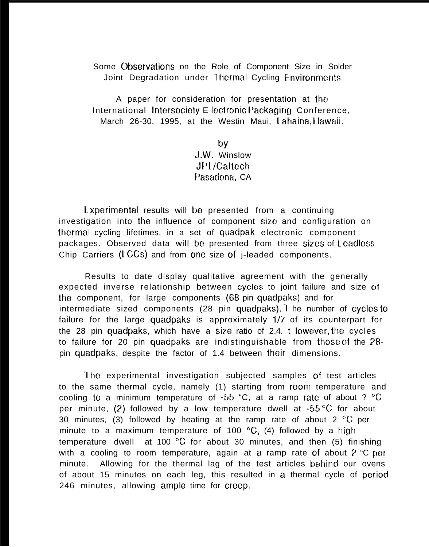Some Observations on the Role of Component Size in Solder Joint Degradation under Thermal Cycling Environments

A paper for consideration for presentation at the International Intersociety E lectronic Packaging Conference, March 26-30, 1995, at the Westin Maui, Lahaina, Hawaii.

> by J.W. Winslow JPl /Caltech Pasadena, CA

Experimental results will be presented from a continuing investigation into the influence of component size and configuration on Iherrnal cycling lifetimes, in a set of quadpak electronic component packages. Observed data will be presented from three sizes of <sup>L</sup> cadlcss Chip Carriers (LCCs) and from one size of  $i$ -leaded components.

Results to date display qualitative agreement with the generally expected inverse relationship between cycles to joint failure and size of the component, for large components (68 pin quadpaks) and for intermediate sized components (28 pin quadpaks). The number of cyclos to failure for the large quadpaks is approximately 1/7 of its counterpart for the 28 pin quadpaks, which have a size ratio of 2.4. t Iowever, the cycles to failure for 20 pin quadpaks are indistinguishable from those of the  $28$ pin quadpaks, despite the factor of 1.4 between their dimensions.

The experimental investigation subjected samples of test articles to the same thermal cycle, namely (1) starting from room temperature and cooling to a minimum temperature of  $-55$  "C, at a ramp rate of about ?  $°C$ per minute, (2) followed by a low temperature dwell at  $-55\,^{\circ}\text{C}$  for about 30 minutes, (3) followed by heating at the ramp rate of about 2  $\mathrm{^{\circ}C}$  per minute to a maximum temperature of 100  $\mathrm{^{\circ}C}$ , (4) followed by a high temperature dwell at 100  $\mathrm{^{\circ}C}$  for about 30 minutes, and then (5) finishing with a cooling to room temperature, again at a ramp rate of about  $2$  "C per minute. Allowing for the thermal lag of the test articles behind our ovens of about 15 minutes on each leg, this resulted in a thermal cycle of period 246 minutes, allowing ample time for creep.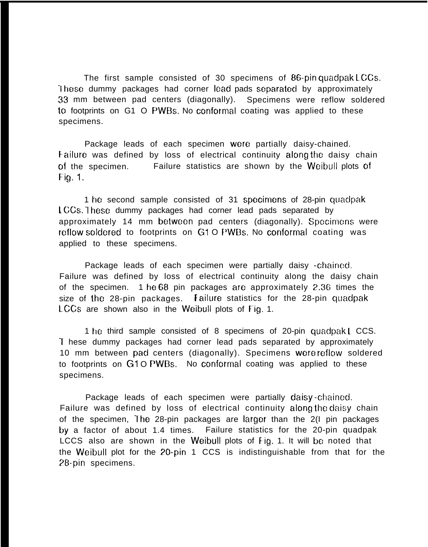The first sample consisted of 30 specimens of 86-pin quadpak LCCS. These dummy packages had corner lead pads separated by approximately 33 mm between pad centers (diagonally). Specimens were reflow soldered to footprints on G1 O PWBs. No conformal coating was applied to these specimens.

Package leads of each specimen wore partially daisy-chained. Eailure was defined by loss of electrical continuity along the daisy chain of the specimen. Failure statistics are shown by the Weibull plots of Fig. 1.

1 he second sample consisted of 31 specimens of 28-pin quadpak LCCs. These dummy packages had corner lead pads separated by approximately 14 mm between pad centers (diagonally). Specimens were reflow soldered to footprints on G1 O PWBs. No conformal coating was applied to these specimens.

Package leads of each specimen were partially daisy -chained. Failure was defined by loss of electrical continuity along the daisy chain of the specimen. 1 he 68 pin packages are approximately 2.36 times the size of the 28-pin packages. Failure statistics for the 28-pin quadpak LCCS are shown also in the Weibull plots of Fig. 1.

1 he third sample consisted of 8 specimens of 20-pin quadpak 1 CCS. '[ hese dummy packages had corner lead pads separated by approximately 10 mm between pad centers (diagonally). Specimens were reflow soldered to footprints on G1 O PWBs. No conformal coating was applied to these specimens.

Package leads of each specimen were partially daisy-chained. Failure was defined by loss of electrical continuity along the daisy chain of the specimen, The 28-pin packages are larger than the 2(I pin packages by a factor of about 1.4 times. Failure statistics for the 20-pin quadpak LCCS also are shown in the Weibull plots of Fig. 1. It will be noted that the Weibull plot for the ?O-pin 1 CCS is indistinguishable from that for the 28-pin specimens.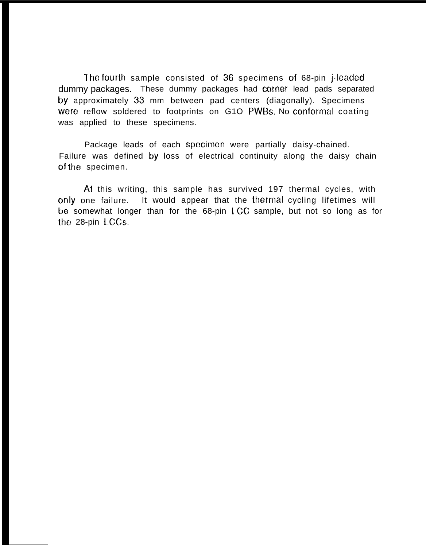The fourth sample consisted of 36 specimens of 68-pin j-leaded dummy packages. These dummy packages had corner lead pads separated by approximately 33 mm between pad centers (diagonally). Specimens were reflow soldered to footprints on G1O PWBs. No conformal coating was applied to these specimens.

Package leads of each specimen were partially daisy-chained. Failure was defined by loss of electrical continuity along the daisy chain of the specimen.

At this writing, this sample has survived 197 thermal cycles, with only one failure. It would appear that the thermal cycling lifetimes will be somewhat longer than for the 68-pin LCC sample, but not so long as for the 28-pin LCCS.